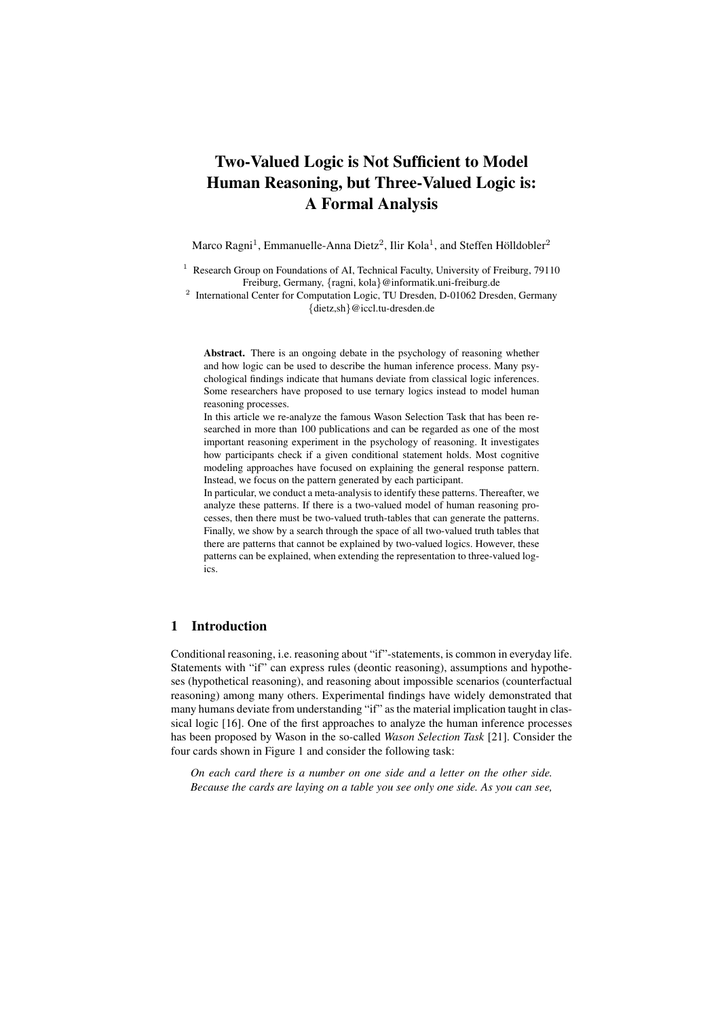# Two-Valued Logic is Not Sufficient to Model Human Reasoning, but Three-Valued Logic is: A Formal Analysis

Marco Ragni<sup>1</sup>, Emmanuelle-Anna Dietz<sup>2</sup>, Ilir Kola<sup>1</sup>, and Steffen Hölldobler<sup>2</sup>

<sup>1</sup> Research Group on Foundations of AI, Technical Faculty, University of Freiburg, 79110 Freiburg, Germany, *{*ragni, kola*}*@informatik.uni-freiburg.de <sup>2</sup> International Center for Computation Logic, TU Dresden, D-01062 Dresden, Germany

*{*dietz,sh*}*@iccl.tu-dresden.de

Abstract. There is an ongoing debate in the psychology of reasoning whether and how logic can be used to describe the human inference process. Many psychological findings indicate that humans deviate from classical logic inferences. Some researchers have proposed to use ternary logics instead to model human reasoning processes.

In this article we re-analyze the famous Wason Selection Task that has been researched in more than 100 publications and can be regarded as one of the most important reasoning experiment in the psychology of reasoning. It investigates how participants check if a given conditional statement holds. Most cognitive modeling approaches have focused on explaining the general response pattern. Instead, we focus on the pattern generated by each participant.

In particular, we conduct a meta-analysis to identify these patterns. Thereafter, we analyze these patterns. If there is a two-valued model of human reasoning processes, then there must be two-valued truth-tables that can generate the patterns. Finally, we show by a search through the space of all two-valued truth tables that there are patterns that cannot be explained by two-valued logics. However, these patterns can be explained, when extending the representation to three-valued logics.

## 1 Introduction

Conditional reasoning, i.e. reasoning about "if"-statements, is common in everyday life. Statements with "if" can express rules (deontic reasoning), assumptions and hypotheses (hypothetical reasoning), and reasoning about impossible scenarios (counterfactual reasoning) among many others. Experimental findings have widely demonstrated that many humans deviate from understanding "if" as the material implication taught in classical logic [16]. One of the first approaches to analyze the human inference processes has been proposed by Wason in the so-called *Wason Selection Task* [21]. Consider the four cards shown in Figure 1 and consider the following task:

*On each card there is a number on one side and a letter on the other side. Because the cards are laying on a table you see only one side. As you can see,*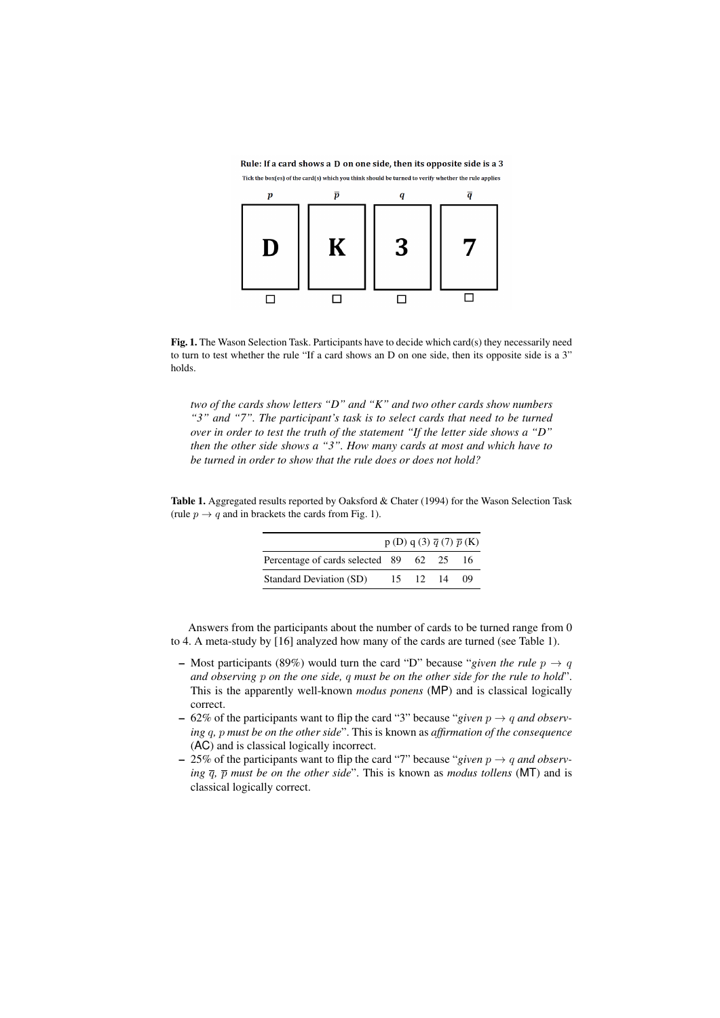Rule: If a card shows a D on one side, then its opposite side is a 3 Tick the box(es) of the card(s) which you think should be turned to verify whether the rule applies



Fig. 1. The Wason Selection Task. Participants have to decide which card(s) they necessarily need to turn to test whether the rule "If a card shows an D on one side, then its opposite side is a 3" holds.

*two of the cards show letters "D" and "K" and two other cards show numbers "3" and "7". The participant's task is to select cards that need to be turned over in order to test the truth of the statement "If the letter side shows a "D" then the other side shows a "3". How many cards at most and which have to be turned in order to show that the rule does or does not hold?*

Table 1. Aggregated results reported by Oaksford & Chater (1994) for the Wason Selection Task (rule  $p \rightarrow q$  and in brackets the cards from Fig. 1).

|                                 |    |                  |    | $p(D) q(3) \overline{q}(7) \overline{p}(K)$ |
|---------------------------------|----|------------------|----|---------------------------------------------|
| Percentage of cards selected 89 |    | 62 25            |    | 16                                          |
| Standard Deviation (SD)         | 15 | 12 <sup>12</sup> | 14 | 09                                          |

Answers from the participants about the number of cards to be turned range from 0 to 4. A meta-study by [16] analyzed how many of the cards are turned (see Table 1).

- Most participants (89%) would turn the card "D" because "*given the rule*  $p \rightarrow q$ *and observing p on the one side, q must be on the other side for the rule to hold*". This is the apparently well-known *modus ponens* (MP) and is classical logically correct.
- $-62\%$  of the participants want to flip the card "3" because "given  $p \rightarrow q$  and observ*ing q, p must be on the other side*". This is known as *affirmation of the consequence* (AC) and is classical logically incorrect.
- $-$  25% of the participants want to flip the card "7" because "given  $p \rightarrow q$  and observ*ing*  $\overline{q}$ ,  $\overline{p}$  *must be on the other side*". This is known as *modus tollens* (MT) and is classical logically correct.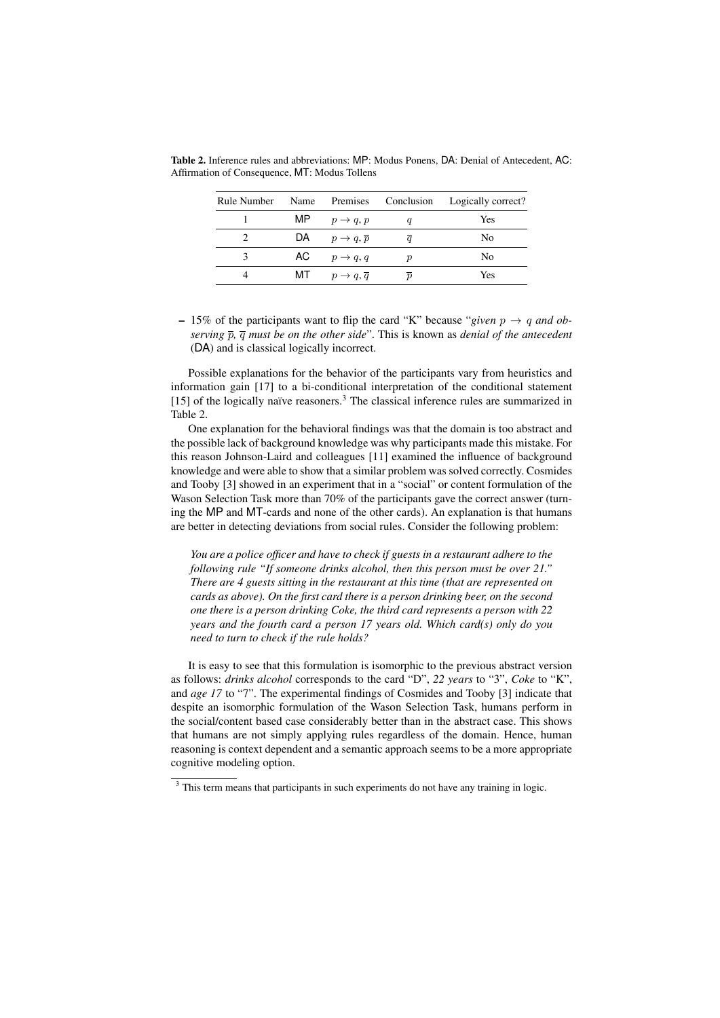| Rule Number | Name |                                    |                  | Premises Conclusion Logically correct? |
|-------------|------|------------------------------------|------------------|----------------------------------------|
|             |      | MP $p \rightarrow q, p$            |                  | Yes                                    |
|             |      | DA $p \rightarrow q, \bar{p}$      |                  | No                                     |
| 3           |      | AC $p \rightarrow q, q$            | ŋ                | No                                     |
|             |      | MT $p \rightarrow q, \overline{q}$ | $\boldsymbol{n}$ | Yes                                    |

Table 2. Inference rules and abbreviations: MP: Modus Ponens, DA: Denial of Antecedent, AC: Affirmation of Consequence, MT: Modus Tollens

 $- 15\%$  of the participants want to flip the card "K" because "given  $p \rightarrow q$  and ob*serving p, q must be on the other side*". This is known as *denial of the antecedent* (DA) and is classical logically incorrect.

Possible explanations for the behavior of the participants vary from heuristics and information gain [17] to a bi-conditional interpretation of the conditional statement  $[15]$  of the logically naïve reasoners.<sup>3</sup> The classical inference rules are summarized in Table 2.

One explanation for the behavioral findings was that the domain is too abstract and the possible lack of background knowledge was why participants made this mistake. For this reason Johnson-Laird and colleagues [11] examined the influence of background knowledge and were able to show that a similar problem was solved correctly. Cosmides and Tooby [3] showed in an experiment that in a "social" or content formulation of the Wason Selection Task more than 70% of the participants gave the correct answer (turning the MP and MT-cards and none of the other cards). An explanation is that humans are better in detecting deviations from social rules. Consider the following problem:

*You are a police officer and have to check if guests in a restaurant adhere to the following rule "If someone drinks alcohol, then this person must be over 21." There are 4 guests sitting in the restaurant at this time (that are represented on cards as above). On the first card there is a person drinking beer, on the second one there is a person drinking Coke, the third card represents a person with 22 years and the fourth card a person 17 years old. Which card(s) only do you need to turn to check if the rule holds?*

It is easy to see that this formulation is isomorphic to the previous abstract version as follows: *drinks alcohol* corresponds to the card "D", *22 years* to "3", *Coke* to "K", and *age 17* to "7". The experimental findings of Cosmides and Tooby [3] indicate that despite an isomorphic formulation of the Wason Selection Task, humans perform in the social/content based case considerably better than in the abstract case. This shows that humans are not simply applying rules regardless of the domain. Hence, human reasoning is context dependent and a semantic approach seems to be a more appropriate cognitive modeling option.

<sup>&</sup>lt;sup>3</sup> This term means that participants in such experiments do not have any training in logic.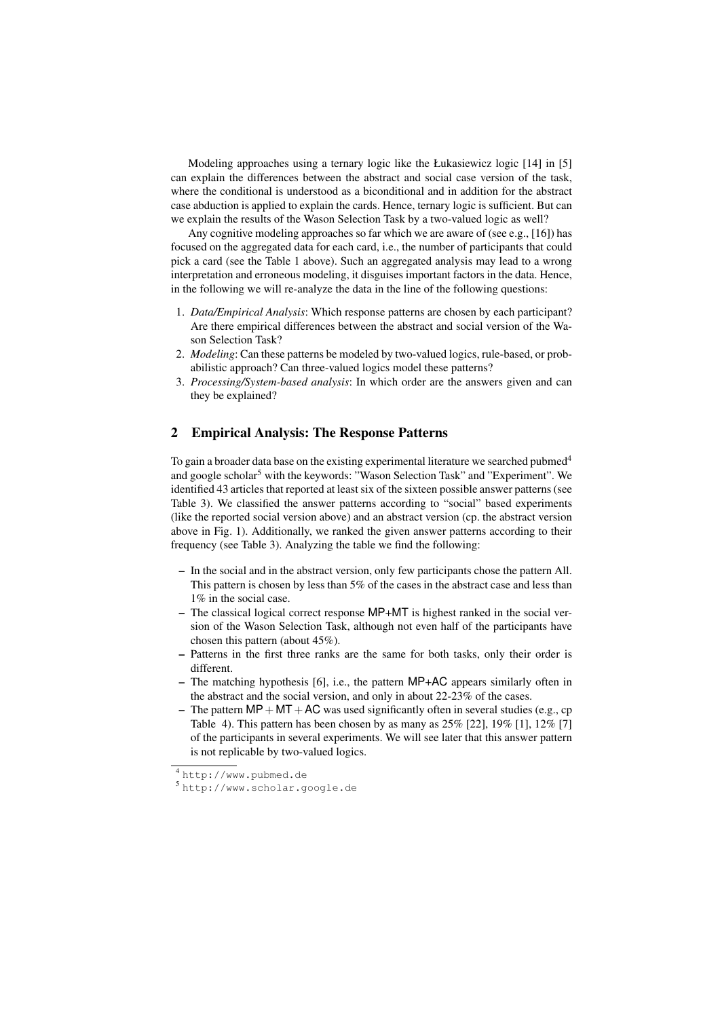Modeling approaches using a ternary logic like the Łukasiewicz logic [14] in [5] can explain the differences between the abstract and social case version of the task, where the conditional is understood as a biconditional and in addition for the abstract case abduction is applied to explain the cards. Hence, ternary logic is sufficient. But can we explain the results of the Wason Selection Task by a two-valued logic as well?

Any cognitive modeling approaches so far which we are aware of (see e.g., [16]) has focused on the aggregated data for each card, i.e., the number of participants that could pick a card (see the Table 1 above). Such an aggregated analysis may lead to a wrong interpretation and erroneous modeling, it disguises important factors in the data. Hence, in the following we will re-analyze the data in the line of the following questions:

- 1. *Data/Empirical Analysis*: Which response patterns are chosen by each participant? Are there empirical differences between the abstract and social version of the Wason Selection Task?
- 2. *Modeling*: Can these patterns be modeled by two-valued logics, rule-based, or probabilistic approach? Can three-valued logics model these patterns?
- 3. *Processing/System-based analysis*: In which order are the answers given and can they be explained?

### 2 Empirical Analysis: The Response Patterns

To gain a broader data base on the existing experimental literature we searched pubmed<sup>4</sup> and google scholar<sup>5</sup> with the keywords: "Wason Selection Task" and "Experiment". We identified 43 articles that reported at least six of the sixteen possible answer patterns (see Table 3). We classified the answer patterns according to "social" based experiments (like the reported social version above) and an abstract version (cp. the abstract version above in Fig. 1). Additionally, we ranked the given answer patterns according to their frequency (see Table 3). Analyzing the table we find the following:

- In the social and in the abstract version, only few participants chose the pattern All. This pattern is chosen by less than 5% of the cases in the abstract case and less than 1% in the social case.
- The classical logical correct response MP+MT is highest ranked in the social version of the Wason Selection Task, although not even half of the participants have chosen this pattern (about 45%).
- Patterns in the first three ranks are the same for both tasks, only their order is different.
- The matching hypothesis [6], i.e., the pattern MP+AC appears similarly often in the abstract and the social version, and only in about 22-23% of the cases.
- The pattern  $MP + MT + AC$  was used significantly often in several studies (e.g., cp Table 4). This pattern has been chosen by as many as  $25\%$  [22],  $19\%$  [1],  $12\%$  [7] of the participants in several experiments. We will see later that this answer pattern is not replicable by two-valued logics.

<sup>4</sup> http://www.pubmed.de

<sup>5</sup> http://www.scholar.google.de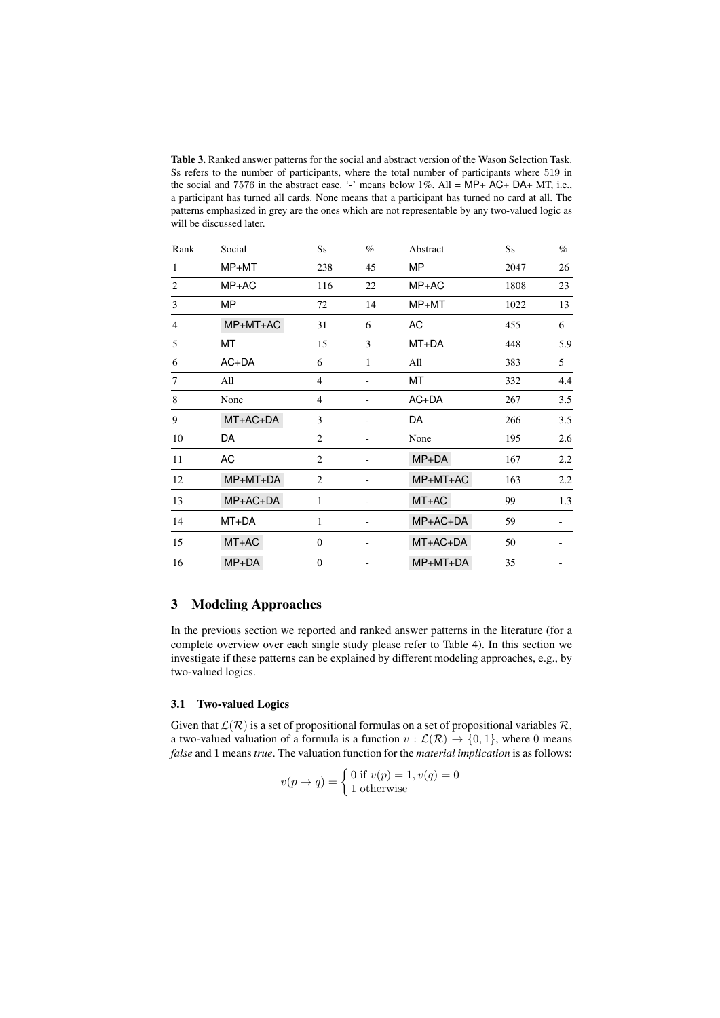Table 3. Ranked answer patterns for the social and abstract version of the Wason Selection Task. Ss refers to the number of participants, where the total number of participants where 519 in the social and 7576 in the abstract case. '-' means below 1%. All = MP+ AC+ DA+ MT, i.e., a participant has turned all cards. None means that a participant has turned no card at all. The patterns emphasized in grey are the ones which are not representable by any two-valued logic as will be discussed later.

| Rank           | Social     | $S_{S}$        | $\%$                     | Abstract   | $S_{S}$ | $\%$ |
|----------------|------------|----------------|--------------------------|------------|---------|------|
| 1              | $MP+MT$    | 238            | 45                       | <b>MP</b>  | 2047    | 26   |
| 2              | $MP+AC$    | 116            | 22                       | $MP+AC$    | 1808    | 23   |
| 3              | <b>MP</b>  | 72             | 14                       | $MP+MT$    | 1022    | 13   |
| $\overline{4}$ | MP+MT+AC   | 31             | 6                        | AC         | 455     | 6    |
| 5              | МT         | 15             | 3                        | MT+DA      | 448     | 5.9  |
| 6              | $AC+DA$    | 6              | 1                        | All        | 383     | 5    |
| 7              | All        | $\overline{4}$ | $\overline{\phantom{0}}$ | МT         | 332     | 4.4  |
| 8              | None       | $\overline{4}$ | -                        | $AC+DA$    | 267     | 3.5  |
| 9              | $MT+AC+DA$ | 3              |                          | DA         | 266     | 3.5  |
| 10             | DA         | 2              |                          | None       | 195     | 2.6  |
| 11             | AC         | $\overline{2}$ |                          | $MP+DA$    | 167     | 2.2  |
| 12             | $MP+MT+DA$ | 2              | -                        | MP+MT+AC   | 163     | 2.2  |
| 13             | $MP+AC+DA$ | 1              |                          | MT+AC      | 99      | 1.3  |
| 14             | MT+DA      | 1              |                          | MP+AC+DA   | 59      |      |
| 15             | MT+AC      | $\mathbf{0}$   | $\overline{\phantom{0}}$ | MT+AC+DA   | 50      |      |
| 16             | $MP+DA$    | $\Omega$       |                          | $MP+MT+DA$ | 35      |      |

# 3 Modeling Approaches

In the previous section we reported and ranked answer patterns in the literature (for a complete overview over each single study please refer to Table 4). In this section we investigate if these patterns can be explained by different modeling approaches, e.g., by two-valued logics.

#### 3.1 Two-valued Logics

Given that  $\mathcal{L}(\mathcal{R})$  is a set of propositional formulas on a set of propositional variables  $\mathcal{R}$ , a two-valued valuation of a formula is a function  $v : \mathcal{L}(\mathcal{R}) \to \{0, 1\}$ , where 0 means *false* and 1 means *true*. The valuation function for the *material implication* is as follows:

$$
v(p \to q) = \begin{cases} 0 \text{ if } v(p) = 1, v(q) = 0\\ 1 \text{ otherwise} \end{cases}
$$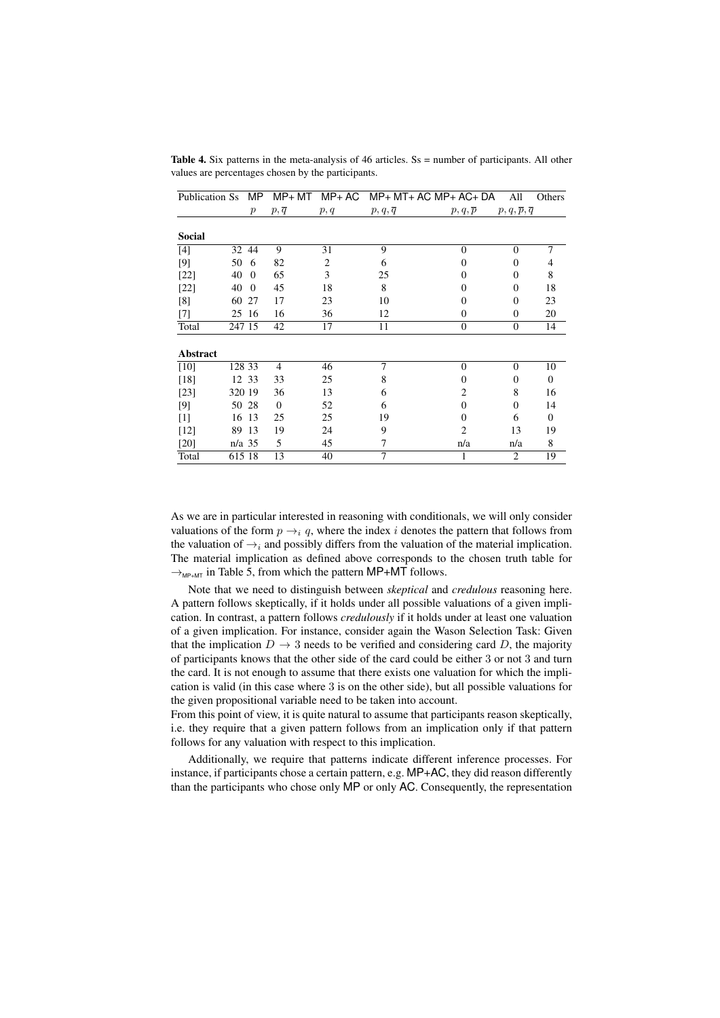| Publication Ss  |          | MP.              |                  |                | $MP+ MT$ $MP+ AC$ $MP+ MT+ AC$ $MP+ AC+ DA$ |                | All                                | Others         |
|-----------------|----------|------------------|------------------|----------------|---------------------------------------------|----------------|------------------------------------|----------------|
|                 |          | $\boldsymbol{p}$ | $p,\overline{q}$ | p, q           | $p,q,\overline{q}$                          | p, q, p        | $p, q, \overline{p}, \overline{q}$ |                |
|                 |          |                  |                  |                |                                             |                |                                    |                |
| <b>Social</b>   |          |                  |                  |                |                                             |                |                                    |                |
| $[4]$           |          | 32 44            | 9                | 31             | 9                                           | $\theta$       | $\theta$                           | $\overline{7}$ |
| [9]             | 50       | 6                | 82               | $\overline{c}$ | 6                                           | 0              | $\Omega$                           | 4              |
| $[22]$          | 40       | $\Omega$         | 65               | 3              | 25                                          | $\Omega$       | $\Omega$                           | 8              |
| $[22]$          | 40       | $\Omega$         | 45               | 18             | 8                                           | 0              | $\Omega$                           | 18             |
| [8]             | 60       | 27               | 17               | 23             | 10                                          | 0              | $\Omega$                           | 23             |
| $[7]$           |          | 25 16            | 16               | 36             | 12                                          | $\Omega$       | $\Omega$                           | 20             |
| Total           | 247 15   |                  | 42               | 17             | 11                                          | $\overline{0}$ | $\boldsymbol{0}$                   | 14             |
|                 |          |                  |                  |                |                                             |                |                                    |                |
| <b>Abstract</b> |          |                  |                  |                |                                             |                |                                    |                |
| [10]            | 128 33   |                  | $\overline{4}$   | 46             | 7                                           | $\theta$       | $\theta$                           | 10             |
| $[18]$          |          | 12 33            | 33               | 25             | 8                                           | 0              | $\Omega$                           | $\overline{0}$ |
| $[23]$          | 320 19   |                  | 36               | 13             | 6                                           | 2              | 8                                  | 16             |
| [9]             |          | 50 28            | $\theta$         | 52             | 6                                           | $\Omega$       | $\theta$                           | 14             |
| $[1]$           | 16       | 13               | 25               | 25             | 19                                          | 0              | 6                                  | $\Omega$       |
| $[12]$          | 89       | 13               | 19               | 24             | 9                                           | $\overline{2}$ | 13                                 | 19             |
| $[20]$          | $n/a$ 35 |                  | 5                | 45             | 7                                           | n/a            | n/a                                | 8              |
| Total           | 615 18   |                  | 13               | 40             | 7                                           |                | $\overline{c}$                     | 19             |

Table 4. Six patterns in the meta-analysis of 46 articles. Ss = number of participants. All other values are percentages chosen by the participants.

As we are in particular interested in reasoning with conditionals, we will only consider valuations of the form  $p \rightarrow_i q$ , where the index *i* denotes the pattern that follows from the valuation of  $\rightarrow$ <sub>i</sub> and possibly differs from the valuation of the material implication. The material implication as defined above corresponds to the chosen truth table for  $\rightarrow_{MP+MT}$  in Table 5, from which the pattern MP+MT follows.

Note that we need to distinguish between *skeptical* and *credulous* reasoning here. A pattern follows skeptically, if it holds under all possible valuations of a given implication. In contrast, a pattern follows *credulously* if it holds under at least one valuation of a given implication. For instance, consider again the Wason Selection Task: Given that the implication  $D \to 3$  needs to be verified and considering card *D*, the majority of participants knows that the other side of the card could be either 3 or not 3 and turn the card. It is not enough to assume that there exists one valuation for which the implication is valid (in this case where 3 is on the other side), but all possible valuations for the given propositional variable need to be taken into account.

From this point of view, it is quite natural to assume that participants reason skeptically, i.e. they require that a given pattern follows from an implication only if that pattern follows for any valuation with respect to this implication.

Additionally, we require that patterns indicate different inference processes. For instance, if participants chose a certain pattern, e.g. MP+AC, they did reason differently than the participants who chose only MP or only AC. Consequently, the representation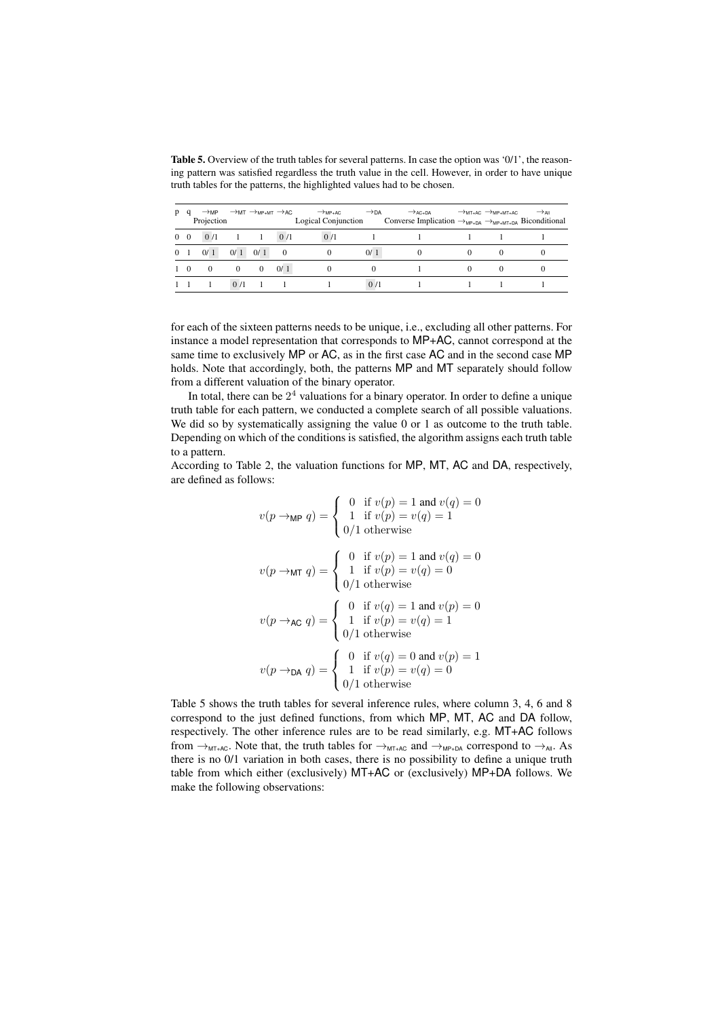Table 5. Overview of the truth tables for several patterns. In case the option was '0/1', the reasoning pattern was satisfied regardless the truth value in the cell. However, in order to have unique truth tables for the patterns, the highlighted values had to be chosen.

| D              | $\rightarrow$ MP<br>Projection |          | $\rightarrow$ MT $\rightarrow$ MP+MT $\rightarrow$ AC |          | $\rightarrow$ MP+AC<br>Logical Conjunction | $\rightarrow$ DA | $\rightarrow$ AC+DA<br>Converse Implication $\rightarrow_{MP+DA} \rightarrow_{MP+MT+DA}$ Biconditional | $\rightarrow$ MT+AC $\rightarrow$ MP+MT+AC | $\rightarrow$ All |
|----------------|--------------------------------|----------|-------------------------------------------------------|----------|--------------------------------------------|------------------|--------------------------------------------------------------------------------------------------------|--------------------------------------------|-------------------|
| $0\quad 0$     | 0/1                            |          |                                                       | 0/1      | 0/1                                        |                  |                                                                                                        |                                            |                   |
| 0 <sub>1</sub> | 0/1                            | 0/1      | 0/1                                                   | $\Omega$ | $\theta$                                   | 0/1              | $\theta$                                                                                               |                                            |                   |
| 1 0            | $\mathbf{0}$                   | $\bf{0}$ | $\theta$                                              | 0/1      |                                            |                  |                                                                                                        |                                            |                   |
|                |                                | 0/1      |                                                       |          |                                            | 0/1              |                                                                                                        |                                            |                   |

for each of the sixteen patterns needs to be unique, i.e., excluding all other patterns. For instance a model representation that corresponds to MP+AC, cannot correspond at the same time to exclusively MP or AC, as in the first case AC and in the second case MP holds. Note that accordingly, both, the patterns MP and MT separately should follow from a different valuation of the binary operator.

In total, there can be  $2<sup>4</sup>$  valuations for a binary operator. In order to define a unique truth table for each pattern, we conducted a complete search of all possible valuations. We did so by systematically assigning the value 0 or 1 as outcome to the truth table. Depending on which of the conditions is satisfied, the algorithm assigns each truth table to a pattern.

According to Table 2, the valuation functions for MP, MT, AC and DA, respectively, are defined as follows:

$$
v(p \rightarrow_{\mathsf{MP}} q) = \begin{cases} 0 & \text{if } v(p) = 1 \text{ and } v(q) = 0 \\ 1 & \text{if } v(p) = v(q) = 1 \end{cases}
$$

$$
v(p \rightarrow_{\mathsf{MT}} q) = \begin{cases} 0 & \text{if } v(p) = 1 \text{ and } v(q) = 0 \\ 1 & \text{if } v(p) = v(q) = 0 \end{cases}
$$

$$
v(p \rightarrow_{\mathsf{AC}} q) = \begin{cases} 0 & \text{if } v(q) = 1 \text{ and } v(p) = 0 \\ 1 & \text{if } v(p) = v(q) = 1 \\ 0/1 \text{ otherwise} \end{cases}
$$

$$
v(p \rightarrow_{\mathsf{DA}} q) = \begin{cases} 0 & \text{if } v(q) = 0 \text{ and } v(p) = 1 \\ 1 & \text{if } v(p) = v(q) = 0 \\ 0/1 \text{ otherwise} \end{cases}
$$

Table 5 shows the truth tables for several inference rules, where column 3, 4, 6 and 8 correspond to the just defined functions, from which MP, MT, AC and DA follow, respectively. The other inference rules are to be read similarly, e.g. MT+AC follows from  $\rightarrow_{MT+AC}$ . Note that, the truth tables for  $\rightarrow_{MT+AC}$  and  $\rightarrow_{MP+DA}$  correspond to  $\rightarrow_{All}$ . As there is no 0/1 variation in both cases, there is no possibility to define a unique truth table from which either (exclusively) MT+AC or (exclusively) MP+DA follows. We make the following observations: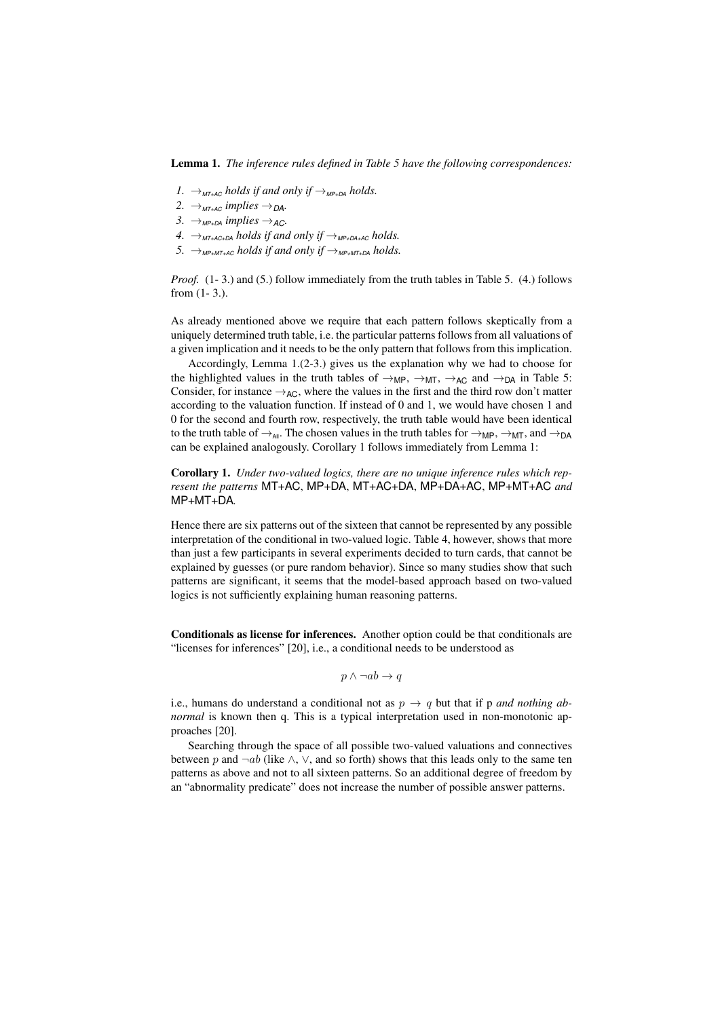Lemma 1. *The inference rules defined in Table 5 have the following correspondences:*

- *1.*  $\rightarrow$ <sub>*MT+AC</sub> holds if and only if*  $\rightarrow$ <sub>*MP+DA</sub> holds.*</sub></sub>
- $2. \rightarrow_{MT+AC}$  *implies*  $\rightarrow_{DA}$ *.*
- $3. \rightarrow$ <sub>MP+DA</sub> *implies*  $\rightarrow$ <sub>AC</sub>.
- *4.*  $\rightarrow$ <sub>*MT+AC+DA holds if and only if*  $\rightarrow$ <sub>*MP+DA+AC</sub> holds.*</sub></sub>
- 5.  $\rightarrow_{MP+MT+AC}$  *holds if and only if*  $\rightarrow_{MP+MT+DA}$  *holds.*

*Proof.* (1-3.) and (5.) follow immediately from the truth tables in Table 5. (4.) follows from (1- 3.).

As already mentioned above we require that each pattern follows skeptically from a uniquely determined truth table, i.e. the particular patterns follows from all valuations of a given implication and it needs to be the only pattern that follows from this implication.

Accordingly, Lemma 1.(2-3.) gives us the explanation why we had to choose for the highlighted values in the truth tables of  $\rightarrow_{MP}$ ,  $\rightarrow_{MT}$ ,  $\rightarrow_{AC}$  and  $\rightarrow_{DA}$  in Table 5: Consider, for instance  $\rightarrow$ <sub>AC</sub>, where the values in the first and the third row don't matter according to the valuation function. If instead of 0 and 1, we would have chosen 1 and 0 for the second and fourth row, respectively, the truth table would have been identical to the truth table of  $\rightarrow_{\text{All}}$ . The chosen values in the truth tables for  $\rightarrow_{\text{MP}}$ ,  $\rightarrow_{\text{MT}}$ , and  $\rightarrow_{\text{DA}}$ can be explained analogously. Corollary 1 follows immediately from Lemma 1:

Corollary 1. *Under two-valued logics, there are no unique inference rules which represent the patterns* MT+AC, MP+DA, MT+AC+DA, MP+DA+AC, MP+MT+AC *and* MP+MT+DA*.*

Hence there are six patterns out of the sixteen that cannot be represented by any possible interpretation of the conditional in two-valued logic. Table 4, however, shows that more than just a few participants in several experiments decided to turn cards, that cannot be explained by guesses (or pure random behavior). Since so many studies show that such patterns are significant, it seems that the model-based approach based on two-valued logics is not sufficiently explaining human reasoning patterns.

Conditionals as license for inferences. Another option could be that conditionals are "licenses for inferences" [20], i.e., a conditional needs to be understood as

 $p \wedge \neg ab \rightarrow q$ 

i.e., humans do understand a conditional not as  $p \rightarrow q$  but that if p *and nothing abnormal* is known then q. This is a typical interpretation used in non-monotonic approaches [20].

Searching through the space of all possible two-valued valuations and connectives between *p* and  $\neg ab$  (like  $\wedge$ ,  $\vee$ , and so forth) shows that this leads only to the same ten patterns as above and not to all sixteen patterns. So an additional degree of freedom by an "abnormality predicate" does not increase the number of possible answer patterns.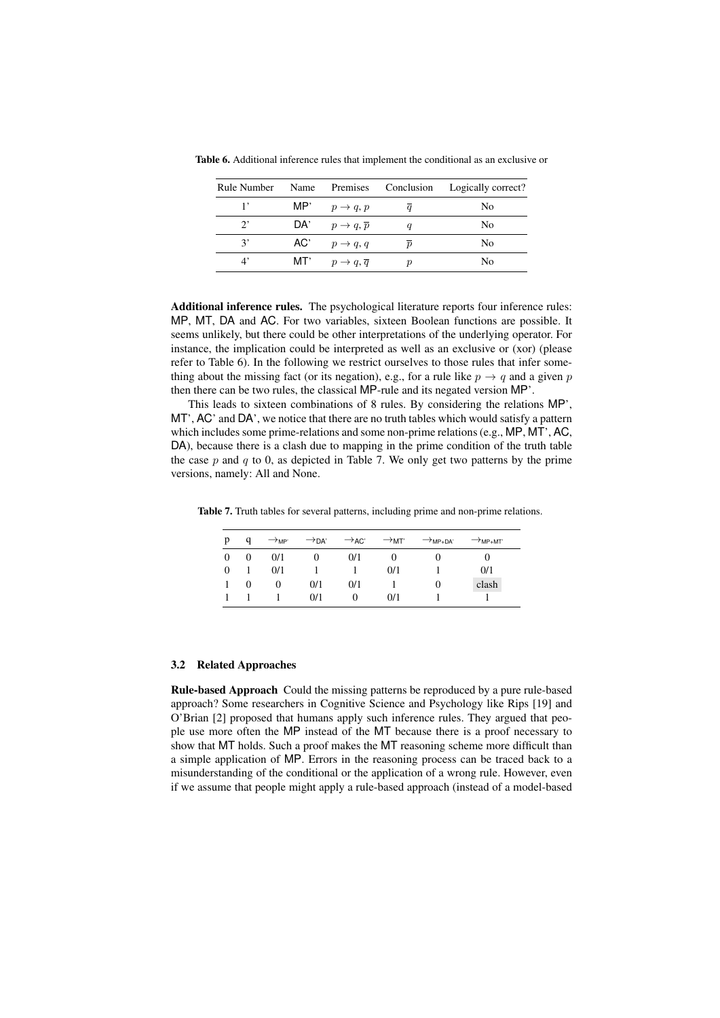| Rule Number | Name |                                     |                  | Premises Conclusion Logically correct? |
|-------------|------|-------------------------------------|------------------|----------------------------------------|
|             |      | MP' $p \rightarrow q, p$            | a                | No                                     |
| $2^,$       |      | DA' $p \rightarrow q, \overline{p}$ |                  | No                                     |
| 3'          |      | AC' $p \rightarrow q, q$            | $\boldsymbol{p}$ | No                                     |
| $4^{\circ}$ | MT'  | $p \rightarrow q, \overline{q}$     |                  | No                                     |

Table 6. Additional inference rules that implement the conditional as an exclusive or

Additional inference rules. The psychological literature reports four inference rules: MP, MT, DA and AC. For two variables, sixteen Boolean functions are possible. It seems unlikely, but there could be other interpretations of the underlying operator. For instance, the implication could be interpreted as well as an exclusive or (xor) (please refer to Table 6). In the following we restrict ourselves to those rules that infer something about the missing fact (or its negation), e.g., for a rule like  $p \rightarrow q$  and a given *p* then there can be two rules, the classical MP-rule and its negated version MP'.

This leads to sixteen combinations of 8 rules. By considering the relations MP', MT', AC' and DA', we notice that there are no truth tables which would satisfy a pattern which includes some prime-relations and some non-prime relations (e.g., MP, MT', AC, DA), because there is a clash due to mapping in the prime condition of the truth table the case  $p$  and  $q$  to 0, as depicted in Table 7. We only get two patterns by the prime versions, namely: All and None.

Table 7. Truth tables for several patterns, including prime and non-prime relations.

| р        | a        | $\rightarrow$ <sub>MP</sub> | $\rightarrow$ DA' | $\rightarrow$ AC' | $\rightarrow$ мт' | $\rightarrow$ MP+DA' | $\rightarrow$ MP+MT' |
|----------|----------|-----------------------------|-------------------|-------------------|-------------------|----------------------|----------------------|
| $\Omega$ | $\theta$ | 0/1                         |                   | 0/1               |                   | U                    |                      |
| $\Omega$ |          | 0/1                         |                   |                   | 0/1               |                      | 0/1                  |
|          | 0        | $^{(1)}$                    | 0/1               | 0/1               |                   | $\theta$             | clash                |
|          |          |                             | 0/1               | 0                 | 0/1               |                      |                      |

#### 3.2 Related Approaches

Rule-based Approach Could the missing patterns be reproduced by a pure rule-based approach? Some researchers in Cognitive Science and Psychology like Rips [19] and O'Brian [2] proposed that humans apply such inference rules. They argued that people use more often the MP instead of the MT because there is a proof necessary to show that MT holds. Such a proof makes the MT reasoning scheme more difficult than a simple application of MP. Errors in the reasoning process can be traced back to a misunderstanding of the conditional or the application of a wrong rule. However, even if we assume that people might apply a rule-based approach (instead of a model-based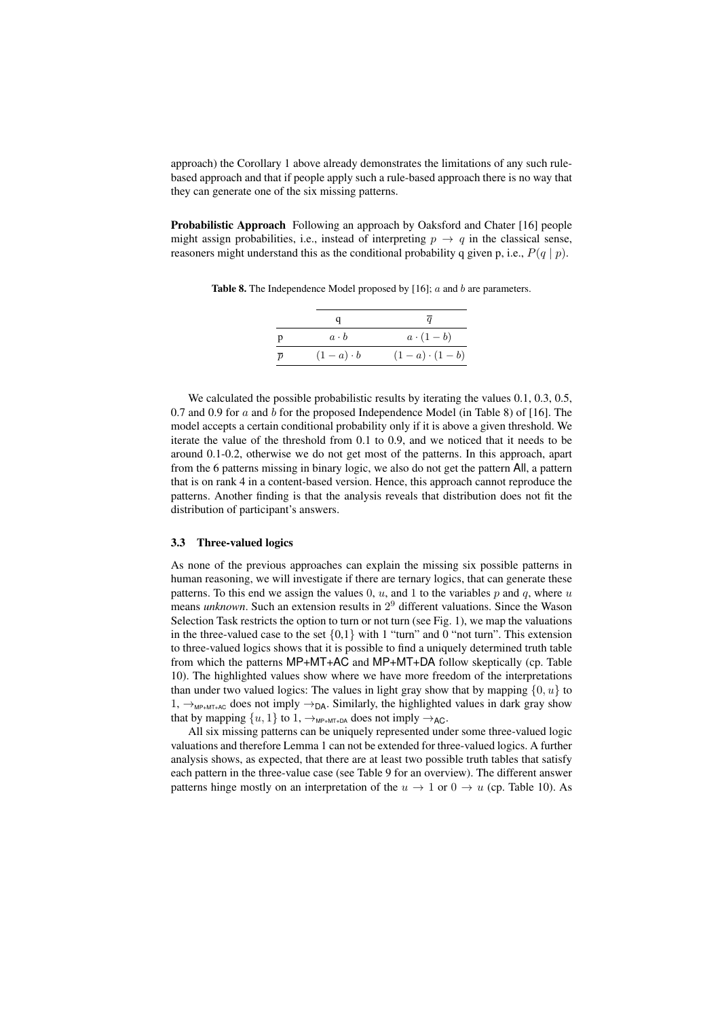approach) the Corollary 1 above already demonstrates the limitations of any such rulebased approach and that if people apply such a rule-based approach there is no way that they can generate one of the six missing patterns.

**Probabilistic Approach** Following an approach by Oaksford and Chater [16] people might assign probabilities, i.e., instead of interpreting  $p \rightarrow q$  in the classical sense, reasoners might understand this as the conditional probability q given p, i.e., *P*(*q | p*).

Table 8. The Independence Model proposed by [16]; *a* and *b* are parameters.

| p              | $a \cdot b$    | $a\cdot(1-b)$       |
|----------------|----------------|---------------------|
| $\overline{p}$ | $(1-a)\cdot b$ | $(1-a) \cdot (1-b)$ |

We calculated the possible probabilistic results by iterating the values 0.1, 0.3, 0.5, 0.7 and 0.9 for *a* and *b* for the proposed Independence Model (in Table 8) of [16]. The model accepts a certain conditional probability only if it is above a given threshold. We iterate the value of the threshold from 0.1 to 0.9, and we noticed that it needs to be around 0.1-0.2, otherwise we do not get most of the patterns. In this approach, apart from the 6 patterns missing in binary logic, we also do not get the pattern All, a pattern that is on rank 4 in a content-based version. Hence, this approach cannot reproduce the patterns. Another finding is that the analysis reveals that distribution does not fit the distribution of participant's answers.

#### 3.3 Three-valued logics

As none of the previous approaches can explain the missing six possible patterns in human reasoning, we will investigate if there are ternary logics, that can generate these patterns. To this end we assign the values 0, *u*, and 1 to the variables *p* and *q*, where *u* means *unknown*. Such an extension results in 2<sup>9</sup> different valuations. Since the Wason Selection Task restricts the option to turn or not turn (see Fig. 1), we map the valuations in the three-valued case to the set  $\{0,1\}$  with 1 "turn" and 0 "not turn". This extension to three-valued logics shows that it is possible to find a uniquely determined truth table from which the patterns MP+MT+AC and MP+MT+DA follow skeptically (cp. Table 10). The highlighted values show where we have more freedom of the interpretations than under two valued logics: The values in light gray show that by mapping  $\{0, u\}$  to 1,  $\rightarrow$ <sub>MP+MT+AC</sub> does not imply  $\rightarrow$ <sub>DA</sub>. Similarly, the highlighted values in dark gray show that by mapping  $\{u, 1\}$  to  $1, \rightarrow_{MP+MT+DA}$  does not imply  $\rightarrow_{AC}$ .

All six missing patterns can be uniquely represented under some three-valued logic valuations and therefore Lemma 1 can not be extended for three-valued logics. A further analysis shows, as expected, that there are at least two possible truth tables that satisfy each pattern in the three-value case (see Table 9 for an overview). The different answer patterns hinge mostly on an interpretation of the  $u \to 1$  or  $0 \to u$  (cp. Table 10). As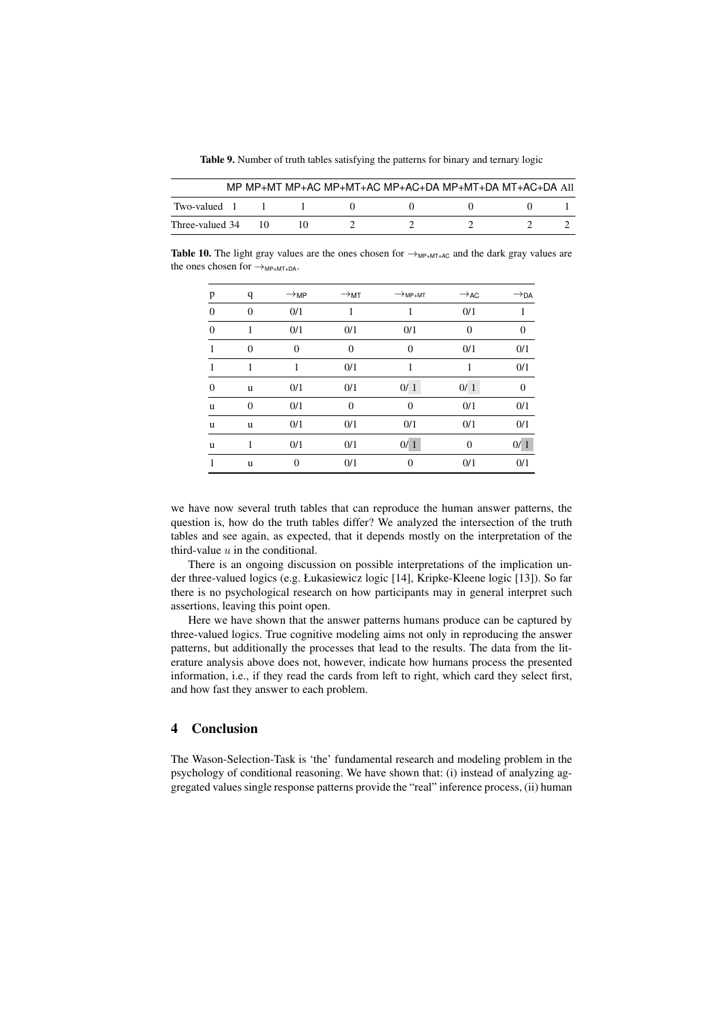Table 9. Number of truth tables satisfying the patterns for binary and ternary logic

|                 |      |  | MP MP+MT MP+AC MP+MT+AC MP+AC+DA MP+MT+DA MT+AC+DA AII |  |
|-----------------|------|--|--------------------------------------------------------|--|
| Two-valued 1    |      |  |                                                        |  |
| Three-valued 34 | - 10 |  |                                                        |  |

**Table 10.** The light gray values are the ones chosen for  $\rightarrow$ <sub>MP+MT+AC</sub> and the dark gray values are the ones chosen for  $\rightarrow_{MP+MT+DA}$ .

| p        | q        | $\rightarrow$ MP | $\rightarrow$ MT | $\rightarrow$ MP+MT | $\rightarrow$ AC | $\rightarrow$ DA |
|----------|----------|------------------|------------------|---------------------|------------------|------------------|
| $\theta$ | $\theta$ | 0/1              | 1                |                     | 0/1              |                  |
| $\Omega$ | 1        | 0/1              | 0/1              | 0/1                 | $\Omega$         | $\theta$         |
| 1        | $\Omega$ | $\theta$         | $\overline{0}$   | $\overline{0}$      | 0/1              | 0/1              |
| 1        |          | 1                | 0/1              |                     |                  | 0/1              |
| $\theta$ | u        | 0/1              | 0/1              | 0/1                 | 0/1              | 0                |
| u        | $\theta$ | 0/1              | $\overline{0}$   | $\overline{0}$      | 0/1              | 0/1              |
| u        | u        | 0/1              | 0/1              | 0/1                 | 0/1              | 0/1              |
| u        | 1        | 0/1              | 0/1              | 0/1                 | $\Omega$         | 0/1              |
| 1        | u        | $\overline{0}$   | 0/1              | $\overline{0}$      | 0/1              | 0/1              |

we have now several truth tables that can reproduce the human answer patterns, the question is, how do the truth tables differ? We analyzed the intersection of the truth tables and see again, as expected, that it depends mostly on the interpretation of the third-value *u* in the conditional.

There is an ongoing discussion on possible interpretations of the implication under three-valued logics (e.g. Łukasiewicz logic [14], Kripke-Kleene logic [13]). So far there is no psychological research on how participants may in general interpret such assertions, leaving this point open.

Here we have shown that the answer patterns humans produce can be captured by three-valued logics. True cognitive modeling aims not only in reproducing the answer patterns, but additionally the processes that lead to the results. The data from the literature analysis above does not, however, indicate how humans process the presented information, i.e., if they read the cards from left to right, which card they select first, and how fast they answer to each problem.

#### 4 Conclusion

The Wason-Selection-Task is 'the' fundamental research and modeling problem in the psychology of conditional reasoning. We have shown that: (i) instead of analyzing aggregated values single response patterns provide the "real" inference process, (ii) human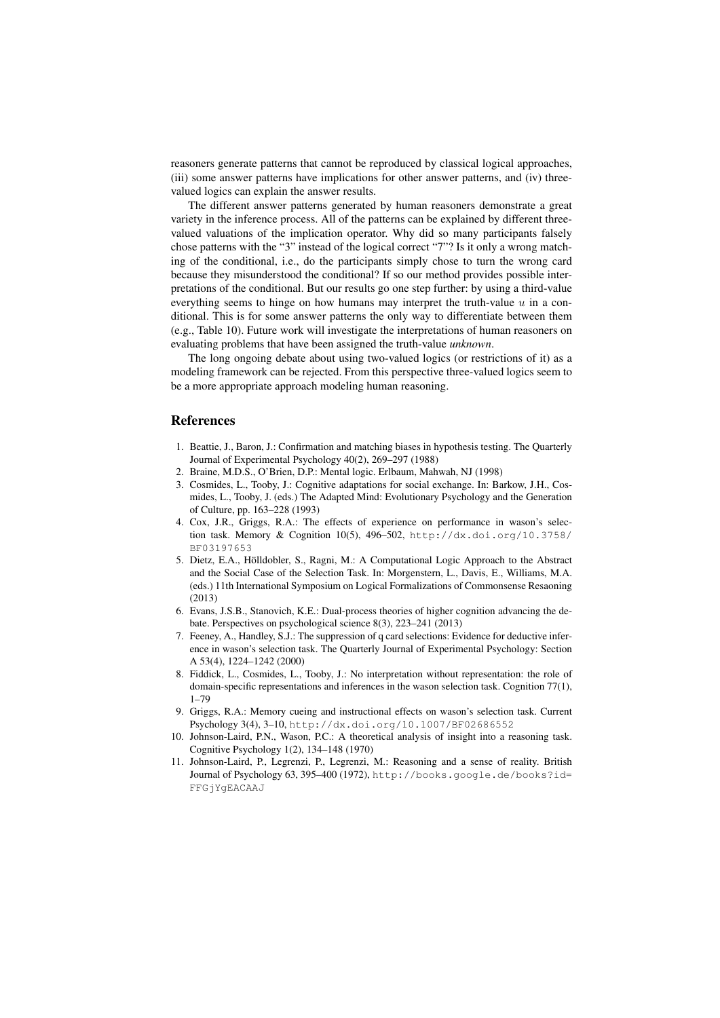reasoners generate patterns that cannot be reproduced by classical logical approaches, (iii) some answer patterns have implications for other answer patterns, and (iv) threevalued logics can explain the answer results.

The different answer patterns generated by human reasoners demonstrate a great variety in the inference process. All of the patterns can be explained by different threevalued valuations of the implication operator. Why did so many participants falsely chose patterns with the "3" instead of the logical correct "7"? Is it only a wrong matching of the conditional, i.e., do the participants simply chose to turn the wrong card because they misunderstood the conditional? If so our method provides possible interpretations of the conditional. But our results go one step further: by using a third-value everything seems to hinge on how humans may interpret the truth-value  $u$  in a conditional. This is for some answer patterns the only way to differentiate between them (e.g., Table 10). Future work will investigate the interpretations of human reasoners on evaluating problems that have been assigned the truth-value *unknown*.

The long ongoing debate about using two-valued logics (or restrictions of it) as a modeling framework can be rejected. From this perspective three-valued logics seem to be a more appropriate approach modeling human reasoning.

#### References

- 1. Beattie, J., Baron, J.: Confirmation and matching biases in hypothesis testing. The Quarterly Journal of Experimental Psychology 40(2), 269–297 (1988)
- 2. Braine, M.D.S., O'Brien, D.P.: Mental logic. Erlbaum, Mahwah, NJ (1998)
- 3. Cosmides, L., Tooby, J.: Cognitive adaptations for social exchange. In: Barkow, J.H., Cosmides, L., Tooby, J. (eds.) The Adapted Mind: Evolutionary Psychology and the Generation of Culture, pp. 163–228 (1993)
- 4. Cox, J.R., Griggs, R.A.: The effects of experience on performance in wason's selection task. Memory & Cognition 10(5), 496–502, http://dx.doi.org/10.3758/ BF03197653
- 5. Dietz, E.A., Hölldobler, S., Ragni, M.: A Computational Logic Approach to the Abstract and the Social Case of the Selection Task. In: Morgenstern, L., Davis, E., Williams, M.A. (eds.) 11th International Symposium on Logical Formalizations of Commonsense Resaoning (2013)
- 6. Evans, J.S.B., Stanovich, K.E.: Dual-process theories of higher cognition advancing the debate. Perspectives on psychological science 8(3), 223–241 (2013)
- 7. Feeney, A., Handley, S.J.: The suppression of q card selections: Evidence for deductive inference in wason's selection task. The Quarterly Journal of Experimental Psychology: Section A 53(4), 1224–1242 (2000)
- 8. Fiddick, L., Cosmides, L., Tooby, J.: No interpretation without representation: the role of domain-specific representations and inferences in the wason selection task. Cognition 77(1), 1–79
- 9. Griggs, R.A.: Memory cueing and instructional effects on wason's selection task. Current Psychology 3(4), 3–10, http://dx.doi.org/10.1007/BF02686552
- 10. Johnson-Laird, P.N., Wason, P.C.: A theoretical analysis of insight into a reasoning task. Cognitive Psychology 1(2), 134–148 (1970)
- 11. Johnson-Laird, P., Legrenzi, P., Legrenzi, M.: Reasoning and a sense of reality. British Journal of Psychology 63, 395–400 (1972), http://books.google.de/books?id= FFGjYgEACAAJ